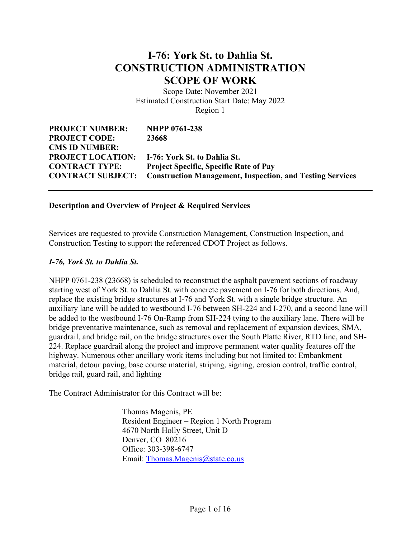# **I-76: York St. to Dahlia St. CONSTRUCTION ADMINISTRATION SCOPE OF WORK**

Scope Date: November 2021 Estimated Construction Start Date: May 2022 Region 1

| <b>NHPP 0761-238</b>                                                               |
|------------------------------------------------------------------------------------|
| 23668                                                                              |
|                                                                                    |
| <b>PROJECT LOCATION:</b> I-76: York St. to Dahlia St.                              |
| <b>Project Specific, Specific Rate of Pay</b>                                      |
| <b>CONTRACT SUBJECT:</b> Construction Management, Inspection, and Testing Services |
|                                                                                    |

#### **Description and Overview of Project & Required Services**

Services are requested to provide Construction Management, Construction Inspection, and Construction Testing to support the referenced CDOT Project as follows.

#### *I-76, York St. to Dahlia St.*

NHPP 0761-238 (23668) is scheduled to reconstruct the asphalt pavement sections of roadway starting west of York St. to Dahlia St. with concrete pavement on I-76 for both directions. And, replace the existing bridge structures at I-76 and York St. with a single bridge structure. An auxiliary lane will be added to westbound I-76 between SH-224 and I-270, and a second lane will be added to the westbound I-76 On-Ramp from SH-224 tying to the auxiliary lane. There will be bridge preventative maintenance, such as removal and replacement of expansion devices, SMA, guardrail, and bridge rail, on the bridge structures over the South Platte River, RTD line, and SH-224. Replace guardrail along the project and improve permanent water quality features off the highway. Numerous other ancillary work items including but not limited to: Embankment material, detour paving, base course material, striping, signing, erosion control, traffic control, bridge rail, guard rail, and lighting

The Contract Administrator for this Contract will be:

Thomas Magenis, PE Resident Engineer – Region 1 North Program 4670 North Holly Street, Unit D Denver, CO 80216 Office: 303-398-6747 Email: [Thomas.Magenis@state.co.us](mailto:Thomas.Magenis@state.co.us)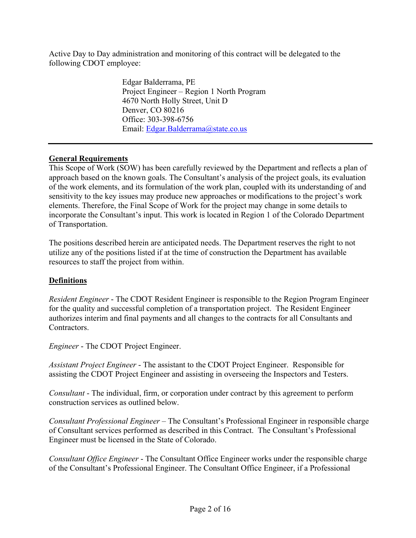Active Day to Day administration and monitoring of this contract will be delegated to the following CDOT employee:

> Edgar Balderrama, PE Project Engineer – Region 1 North Program 4670 North Holly Street, Unit D Denver, CO 80216 Office: 303-398-6756 Email: [Edgar.Balderrama@state.co.us](mailto:Edgar.Balderrama@state.co.us)

### **General Requirements**

This Scope of Work (SOW) has been carefully reviewed by the Department and reflects a plan of approach based on the known goals. The Consultant's analysis of the project goals, its evaluation of the work elements, and its formulation of the work plan, coupled with its understanding of and sensitivity to the key issues may produce new approaches or modifications to the project's work elements. Therefore, the Final Scope of Work for the project may change in some details to incorporate the Consultant's input. This work is located in Region 1 of the Colorado Department of Transportation.

The positions described herein are anticipated needs. The Department reserves the right to not utilize any of the positions listed if at the time of construction the Department has available resources to staff the project from within.

### **Definitions**

*Resident Engineer* - The CDOT Resident Engineer is responsible to the Region Program Engineer for the quality and successful completion of a transportation project. The Resident Engineer authorizes interim and final payments and all changes to the contracts for all Consultants and Contractors.

*Engineer* - The CDOT Project Engineer.

*Assistant Project Engineer* - The assistant to the CDOT Project Engineer. Responsible for assisting the CDOT Project Engineer and assisting in overseeing the Inspectors and Testers.

*Consultant* - The individual, firm, or corporation under contract by this agreement to perform construction services as outlined below.

*Consultant Professional Engineer* – The Consultant's Professional Engineer in responsible charge of Consultant services performed as described in this Contract. The Consultant's Professional Engineer must be licensed in the State of Colorado.

*Consultant Office Engineer* - The Consultant Office Engineer works under the responsible charge of the Consultant's Professional Engineer. The Consultant Office Engineer, if a Professional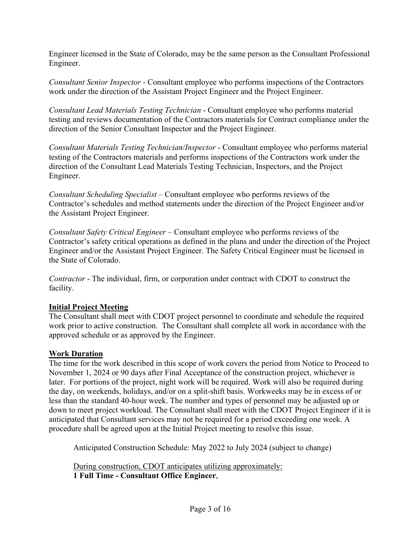Engineer licensed in the State of Colorado, may be the same person as the Consultant Professional Engineer.

*Consultant Senior Inspector* - Consultant employee who performs inspections of the Contractors work under the direction of the Assistant Project Engineer and the Project Engineer.

*Consultant Lead Materials Testing Technician* - Consultant employee who performs material testing and reviews documentation of the Contractors materials for Contract compliance under the direction of the Senior Consultant Inspector and the Project Engineer.

*Consultant Materials Testing Technician/Inspector* - Consultant employee who performs material testing of the Contractors materials and performs inspections of the Contractors work under the direction of the Consultant Lead Materials Testing Technician, Inspectors, and the Project Engineer.

*Consultant Scheduling Specialist* – Consultant employee who performs reviews of the Contractor's schedules and method statements under the direction of the Project Engineer and/or the Assistant Project Engineer.

*Consultant Safety Critical Engineer* – Consultant employee who performs reviews of the Contractor's safety critical operations as defined in the plans and under the direction of the Project Engineer and/or the Assistant Project Engineer. The Safety Critical Engineer must be licensed in the State of Colorado.

*Contractor* - The individual, firm, or corporation under contract with CDOT to construct the facility.

### **Initial Project Meeting**

The Consultant shall meet with CDOT project personnel to coordinate and schedule the required work prior to active construction. The Consultant shall complete all work in accordance with the approved schedule or as approved by the Engineer.

### **Work Duration**

The time for the work described in this scope of work covers the period from Notice to Proceed to November 1, 2024 or 90 days after Final Acceptance of the construction project, whichever is later. For portions of the project, night work will be required. Work will also be required during the day, on weekends, holidays, and/or on a split-shift basis. Workweeks may be in excess of or less than the standard 40-hour week. The number and types of personnel may be adjusted up or down to meet project workload. The Consultant shall meet with the CDOT Project Engineer if it is anticipated that Consultant services may not be required for a period exceeding one week. A procedure shall be agreed upon at the Initial Project meeting to resolve this issue.

Anticipated Construction Schedule: May 2022 to July 2024 (subject to change)

During construction, CDOT anticipates utilizing approximately: **1 Full Time - Consultant Office Engineer**,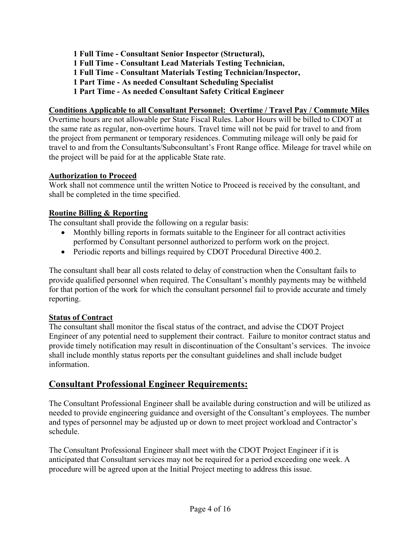**Full Time - Consultant Senior Inspector (Structural), Full Time - Consultant Lead Materials Testing Technician, Full Time - Consultant Materials Testing Technician/Inspector, Part Time - As needed Consultant Scheduling Specialist Part Time - As needed Consultant Safety Critical Engineer**

### **Conditions Applicable to all Consultant Personnel: Overtime / Travel Pay / Commute Miles**

Overtime hours are not allowable per State Fiscal Rules. Labor Hours will be billed to CDOT at the same rate as regular, non-overtime hours. Travel time will not be paid for travel to and from the project from permanent or temporary residences. Commuting mileage will only be paid for travel to and from the Consultants/Subconsultant's Front Range office. Mileage for travel while on the project will be paid for at the applicable State rate.

### **Authorization to Proceed**

Work shall not commence until the written Notice to Proceed is received by the consultant, and shall be completed in the time specified.

## **Routine Billing & Reporting**

The consultant shall provide the following on a regular basis:

- Monthly billing reports in formats suitable to the Engineer for all contract activities performed by Consultant personnel authorized to perform work on the project.
- Periodic reports and billings required by CDOT Procedural Directive 400.2.

The consultant shall bear all costs related to delay of construction when the Consultant fails to provide qualified personnel when required. The Consultant's monthly payments may be withheld for that portion of the work for which the consultant personnel fail to provide accurate and timely reporting.

### **Status of Contract**

The consultant shall monitor the fiscal status of the contract, and advise the CDOT Project Engineer of any potential need to supplement their contract. Failure to monitor contract status and provide timely notification may result in discontinuation of the Consultant's services. The invoice shall include monthly status reports per the consultant guidelines and shall include budget information.

## **Consultant Professional Engineer Requirements:**

The Consultant Professional Engineer shall be available during construction and will be utilized as needed to provide engineering guidance and oversight of the Consultant's employees. The number and types of personnel may be adjusted up or down to meet project workload and Contractor's schedule.

The Consultant Professional Engineer shall meet with the CDOT Project Engineer if it is anticipated that Consultant services may not be required for a period exceeding one week. A procedure will be agreed upon at the Initial Project meeting to address this issue.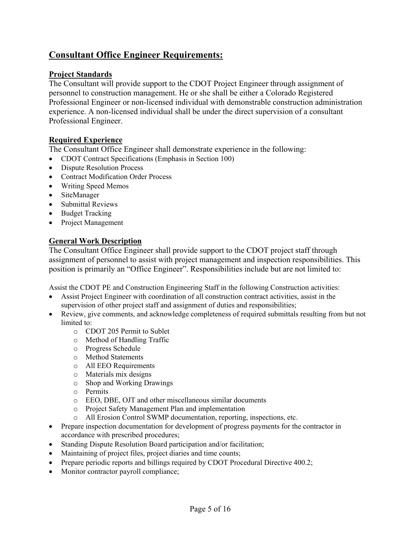## **Consultant Office Engineer Requirements:**

### **Project Standards**

The Consultant will provide support to the CDOT Project Engineer through assignment of personnel to construction management. He or she shall be either a Colorado Registered Professional Engineer or non-licensed individual with demonstrable construction administration experience. A non-licensed individual shall be under the direct supervision of a consultant Professional Engineer.

## **Required Experience**

The Consultant Office Engineer shall demonstrate experience in the following:

- CDOT Contract Specifications (Emphasis in Section 100)
- Dispute Resolution Process
- Contract Modification Order Process
- Writing Speed Memos
- SiteManager
- Submittal Reviews
- Budget Tracking
- Project Management

## **General Work Description**

The Consultant Office Engineer shall provide support to the CDOT project staff through assignment of personnel to assist with project management and inspection responsibilities. This position is primarily an "Office Engineer". Responsibilities include but are not limited to:

Assist the CDOT PE and Construction Engineering Staff in the following Construction activities:

- Assist Project Engineer with coordination of all construction contract activities, assist in the supervision of other project staff and assignment of duties and responsibilities;
- Review, give comments, and acknowledge completeness of required submittals resulting from but not limited to:
	- o CDOT 205 Permit to Sublet
	- o Method of Handling Traffic
	- o Progress Schedule
	- o Method Statements
	- o All EEO Requirements
	- o Materials mix designs
	- o Shop and Working Drawings
	- o Permits
	- o EEO, DBE, OJT and other miscellaneous similar documents
	- o Project Safety Management Plan and implementation
	- o All Erosion Control SWMP documentation, reporting, inspections, etc.
- Prepare inspection documentation for development of progress payments for the contractor in accordance with prescribed procedures;
- Standing Dispute Resolution Board participation and/or facilitation;
- Maintaining of project files, project diaries and time counts;
- Prepare periodic reports and billings required by CDOT Procedural Directive 400.2;
- Monitor contractor payroll compliance;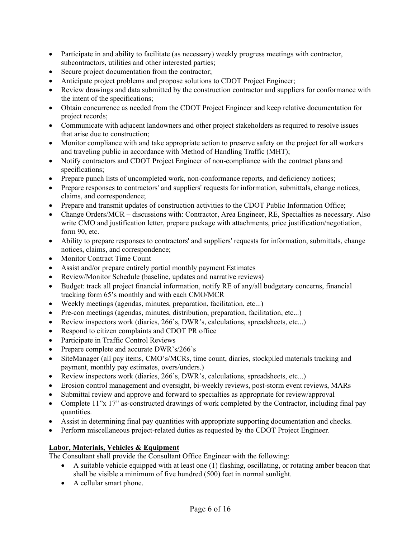- Participate in and ability to facilitate (as necessary) weekly progress meetings with contractor, subcontractors, utilities and other interested parties;
- Secure project documentation from the contractor;
- Anticipate project problems and propose solutions to CDOT Project Engineer;
- Review drawings and data submitted by the construction contractor and suppliers for conformance with the intent of the specifications;
- Obtain concurrence as needed from the CDOT Project Engineer and keep relative documentation for project records;
- Communicate with adjacent landowners and other project stakeholders as required to resolve issues that arise due to construction;
- Monitor compliance with and take appropriate action to preserve safety on the project for all workers and traveling public in accordance with Method of Handling Traffic (MHT);
- Notify contractors and CDOT Project Engineer of non-compliance with the contract plans and specifications;
- Prepare punch lists of uncompleted work, non-conformance reports, and deficiency notices;
- Prepare responses to contractors' and suppliers' requests for information, submittals, change notices, claims, and correspondence;
- Prepare and transmit updates of construction activities to the CDOT Public Information Office;
- Change Orders/MCR discussions with: Contractor, Area Engineer, RE, Specialties as necessary. Also write CMO and justification letter, prepare package with attachments, price justification/negotiation, form 90, etc.
- Ability to prepare responses to contractors' and suppliers' requests for information, submittals, change notices, claims, and correspondence;
- Monitor Contract Time Count
- Assist and/or prepare entirely partial monthly payment Estimates
- Review/Monitor Schedule (baseline, updates and narrative reviews)
- Budget: track all project financial information, notify RE of any/all budgetary concerns, financial tracking form 65's monthly and with each CMO/MCR
- Weekly meetings (agendas, minutes, preparation, facilitation, etc...)
- Pre-con meetings (agendas, minutes, distribution, preparation, facilitation, etc...)
- Review inspectors work (diaries, 266's, DWR's, calculations, spreadsheets, etc...)
- Respond to citizen complaints and CDOT PR office
- Participate in Traffic Control Reviews
- Prepare complete and accurate DWR's/266's
- SiteManager (all pay items, CMO's/MCRs, time count, diaries, stockpiled materials tracking and payment, monthly pay estimates, overs/unders.)
- Review inspectors work (diaries, 266's, DWR's, calculations, spreadsheets, etc...)
- Erosion control management and oversight, bi-weekly reviews, post-storm event reviews, MARs
- Submittal review and approve and forward to specialties as appropriate for review/approval
- Complete 11"x 17" as-constructed drawings of work completed by the Contractor, including final pay quantities.
- Assist in determining final pay quantities with appropriate supporting documentation and checks.
- Perform miscellaneous project-related duties as requested by the CDOT Project Engineer.

#### **Labor, Materials, Vehicles & Equipment**

The Consultant shall provide the Consultant Office Engineer with the following:

- A suitable vehicle equipped with at least one (1) flashing, oscillating, or rotating amber beacon that shall be visible a minimum of five hundred (500) feet in normal sunlight.
- A cellular smart phone.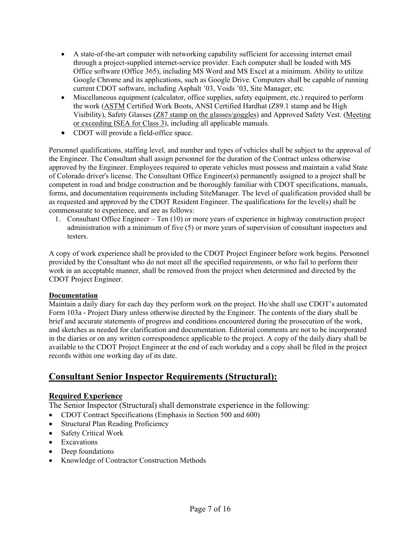- A state-of-the-art computer with networking capability sufficient for accessing internet email through a project-supplied internet-service provider. Each computer shall be loaded with MS Office software (Office 365), including MS Word and MS Excel at a minimum. Ability to utilize Google Chrome and its applications, such as Google Drive. Computers shall be capable of running current CDOT software, including Asphalt '03, Voids '03, Site Manager, etc.
- Miscellaneous equipment (calculator, office supplies, safety equipment, etc.) required to perform the work (ASTM Certified Work Boots, ANSI Certified Hardhat (Z89.1 stamp and be High Visibility), Safety Glasses (Z87 stamp on the glasses/goggles) and Approved Safety Vest. (Meeting or exceeding ISEA for Class 3), including all applicable manuals.
- CDOT will provide a field-office space.

Personnel qualifications, staffing level, and number and types of vehicles shall be subject to the approval of the Engineer. The Consultant shall assign personnel for the duration of the Contract unless otherwise approved by the Engineer. Employees required to operate vehicles must possess and maintain a valid State of Colorado driver's license. The Consultant Office Engineer(s) permanently assigned to a project shall be competent in road and bridge construction and be thoroughly familiar with CDOT specifications, manuals, forms, and documentation requirements including SiteManager. The level of qualification provided shall be as requested and approved by the CDOT Resident Engineer. The qualifications for the level(s) shall be commensurate to experience, and are as follows:

1. Consultant Office Engineer – Ten (10) or more years of experience in highway construction project administration with a minimum of five (5) or more years of supervision of consultant inspectors and testers.

A copy of work experience shall be provided to the CDOT Project Engineer before work begins. Personnel provided by the Consultant who do not meet all the specified requirements, or who fail to perform their work in an acceptable manner, shall be removed from the project when determined and directed by the CDOT Project Engineer.

#### **Documentation**

Maintain a daily diary for each day they perform work on the project. He/she shall use CDOT's automated Form 103a - Project Diary unless otherwise directed by the Engineer. The contents of the diary shall be brief and accurate statements of progress and conditions encountered during the prosecution of the work, and sketches as needed for clarification and documentation. Editorial comments are not to be incorporated in the diaries or on any written correspondence applicable to the project. A copy of the daily diary shall be available to the CDOT Project Engineer at the end of each workday and a copy shall be filed in the project records within one working day of its date.

## **Consultant Senior Inspector Requirements (Structural):**

### **Required Experience**

The Senior Inspector (Structural) shall demonstrate experience in the following:

- CDOT Contract Specifications (Emphasis in Section 500 and 600)
- Structural Plan Reading Proficiency
- Safety Critical Work
- Excavations
- Deep foundations
- Knowledge of Contractor Construction Methods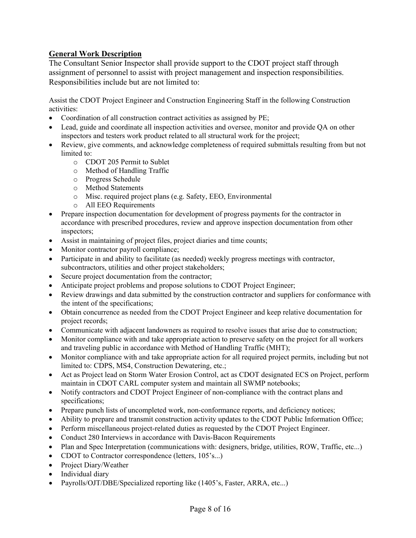## **General Work Description**

The Consultant Senior Inspector shall provide support to the CDOT project staff through assignment of personnel to assist with project management and inspection responsibilities. Responsibilities include but are not limited to:

Assist the CDOT Project Engineer and Construction Engineering Staff in the following Construction activities:

- Coordination of all construction contract activities as assigned by PE;
- Lead, guide and coordinate all inspection activities and oversee, monitor and provide OA on other inspectors and testers work product related to all structural work for the project;
- Review, give comments, and acknowledge completeness of required submittals resulting from but not limited to:
	- o CDOT 205 Permit to Sublet
	- o Method of Handling Traffic
	- o Progress Schedule
	- o Method Statements
	- o Misc. required project plans (e.g. Safety, EEO, Environmental
	- o All EEO Requirements
- Prepare inspection documentation for development of progress payments for the contractor in accordance with prescribed procedures, review and approve inspection documentation from other inspectors;
- Assist in maintaining of project files, project diaries and time counts;
- Monitor contractor payroll compliance;
- Participate in and ability to facilitate (as needed) weekly progress meetings with contractor, subcontractors, utilities and other project stakeholders;
- Secure project documentation from the contractor;
- Anticipate project problems and propose solutions to CDOT Project Engineer;
- Review drawings and data submitted by the construction contractor and suppliers for conformance with the intent of the specifications;
- Obtain concurrence as needed from the CDOT Project Engineer and keep relative documentation for project records;
- Communicate with adjacent landowners as required to resolve issues that arise due to construction;
- Monitor compliance with and take appropriate action to preserve safety on the project for all workers and traveling public in accordance with Method of Handling Traffic (MHT);
- Monitor compliance with and take appropriate action for all required project permits, including but not limited to: CDPS, MS4, Construction Dewatering, etc.;
- Act as Project lead on Storm Water Erosion Control, act as CDOT designated ECS on Project, perform maintain in CDOT CARL computer system and maintain all SWMP notebooks;
- Notify contractors and CDOT Project Engineer of non-compliance with the contract plans and specifications;
- Prepare punch lists of uncompleted work, non-conformance reports, and deficiency notices;
- Ability to prepare and transmit construction activity updates to the CDOT Public Information Office;
- Perform miscellaneous project-related duties as requested by the CDOT Project Engineer.
- Conduct 280 Interviews in accordance with Davis-Bacon Requirements
- Plan and Spec Interpretation (communications with: designers, bridge, utilities, ROW, Traffic, etc...)
- CDOT to Contractor correspondence (letters, 105's...)
- Project Diary/Weather
- Individual diary
- Payrolls/OJT/DBE/Specialized reporting like (1405's, Faster, ARRA, etc...)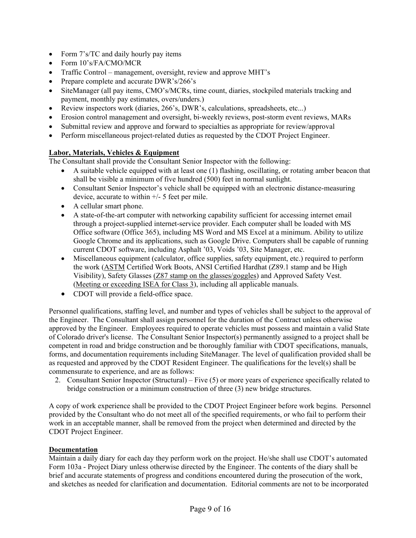- Form 7's/TC and daily hourly pay items
- Form  $10's$ /FA/CMO/MCR
- Traffic Control management, oversight, review and approve MHT's
- Prepare complete and accurate DWR's/266's
- SiteManager (all pay items, CMO's/MCRs, time count, diaries, stockpiled materials tracking and payment, monthly pay estimates, overs/unders.)
- Review inspectors work (diaries, 266's, DWR's, calculations, spreadsheets, etc...)
- Erosion control management and oversight, bi-weekly reviews, post-storm event reviews, MARs
- Submittal review and approve and forward to specialties as appropriate for review/approval
- Perform miscellaneous project-related duties as requested by the CDOT Project Engineer.

#### **Labor, Materials, Vehicles & Equipment**

The Consultant shall provide the Consultant Senior Inspector with the following:

- A suitable vehicle equipped with at least one (1) flashing, oscillating, or rotating amber beacon that shall be visible a minimum of five hundred (500) feet in normal sunlight.
- Consultant Senior Inspector's vehicle shall be equipped with an electronic distance-measuring device, accurate to within +/- 5 feet per mile.
- A cellular smart phone.
- A state-of-the-art computer with networking capability sufficient for accessing internet email through a project-supplied internet-service provider. Each computer shall be loaded with MS Office software (Office 365), including MS Word and MS Excel at a minimum. Ability to utilize Google Chrome and its applications, such as Google Drive. Computers shall be capable of running current CDOT software, including Asphalt '03, Voids '03, Site Manager, etc.
- Miscellaneous equipment (calculator, office supplies, safety equipment, etc.) required to perform the work (ASTM Certified Work Boots, ANSI Certified Hardhat (Z89.1 stamp and be High Visibility), Safety Glasses (Z87 stamp on the glasses/goggles) and Approved Safety Vest. (Meeting or exceeding ISEA for Class 3), including all applicable manuals.
- CDOT will provide a field-office space.

Personnel qualifications, staffing level, and number and types of vehicles shall be subject to the approval of the Engineer. The Consultant shall assign personnel for the duration of the Contract unless otherwise approved by the Engineer. Employees required to operate vehicles must possess and maintain a valid State of Colorado driver's license. The Consultant Senior Inspector(s) permanently assigned to a project shall be competent in road and bridge construction and be thoroughly familiar with CDOT specifications, manuals, forms, and documentation requirements including SiteManager. The level of qualification provided shall be as requested and approved by the CDOT Resident Engineer. The qualifications for the level(s) shall be commensurate to experience, and are as follows:

2. Consultant Senior Inspector (Structural) – Five (5) or more years of experience specifically related to bridge construction or a minimum construction of three (3) new bridge structures.

A copy of work experience shall be provided to the CDOT Project Engineer before work begins. Personnel provided by the Consultant who do not meet all of the specified requirements, or who fail to perform their work in an acceptable manner, shall be removed from the project when determined and directed by the CDOT Project Engineer.

#### **Documentation**

Maintain a daily diary for each day they perform work on the project. He/she shall use CDOT's automated Form 103a - Project Diary unless otherwise directed by the Engineer. The contents of the diary shall be brief and accurate statements of progress and conditions encountered during the prosecution of the work, and sketches as needed for clarification and documentation. Editorial comments are not to be incorporated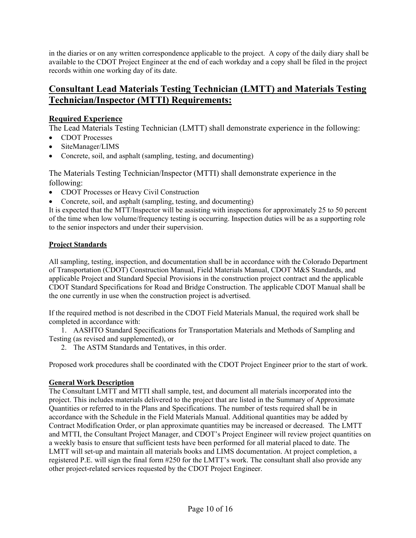in the diaries or on any written correspondence applicable to the project. A copy of the daily diary shall be available to the CDOT Project Engineer at the end of each workday and a copy shall be filed in the project records within one working day of its date.

## **Consultant Lead Materials Testing Technician (LMTT) and Materials Testing Technician/Inspector (MTTI) Requirements:**

### **Required Experience**

The Lead Materials Testing Technician (LMTT) shall demonstrate experience in the following:

- CDOT Processes
- SiteManager/LIMS
- Concrete, soil, and asphalt (sampling, testing, and documenting)

The Materials Testing Technician/Inspector (MTTI) shall demonstrate experience in the following:

- CDOT Processes or Heavy Civil Construction
- Concrete, soil, and asphalt (sampling, testing, and documenting)

It is expected that the MTT/Inspector will be assisting with inspections for approximately 25 to 50 percent of the time when low volume/frequency testing is occurring. Inspection duties will be as a supporting role to the senior inspectors and under their supervision.

### **Project Standards**

All sampling, testing, inspection, and documentation shall be in accordance with the Colorado Department of Transportation (CDOT) Construction Manual, Field Materials Manual, CDOT M&S Standards, and applicable Project and Standard Special Provisions in the construction project contract and the applicable CDOT Standard Specifications for Road and Bridge Construction. The applicable CDOT Manual shall be the one currently in use when the construction project is advertised.

If the required method is not described in the CDOT Field Materials Manual, the required work shall be completed in accordance with:

1. AASHTO Standard Specifications for Transportation Materials and Methods of Sampling and Testing (as revised and supplemented), or

2. The ASTM Standards and Tentatives, in this order.

Proposed work procedures shall be coordinated with the CDOT Project Engineer prior to the start of work.

### **General Work Description**

The Consultant LMTT and MTTI shall sample, test, and document all materials incorporated into the project. This includes materials delivered to the project that are listed in the Summary of Approximate Quantities or referred to in the Plans and Specifications. The number of tests required shall be in accordance with the Schedule in the Field Materials Manual. Additional quantities may be added by Contract Modification Order, or plan approximate quantities may be increased or decreased. The LMTT and MTTI, the Consultant Project Manager, and CDOT's Project Engineer will review project quantities on a weekly basis to ensure that sufficient tests have been performed for all material placed to date. The LMTT will set-up and maintain all materials books and LIMS documentation. At project completion, a registered P.E. will sign the final form #250 for the LMTT's work. The consultant shall also provide any other project-related services requested by the CDOT Project Engineer.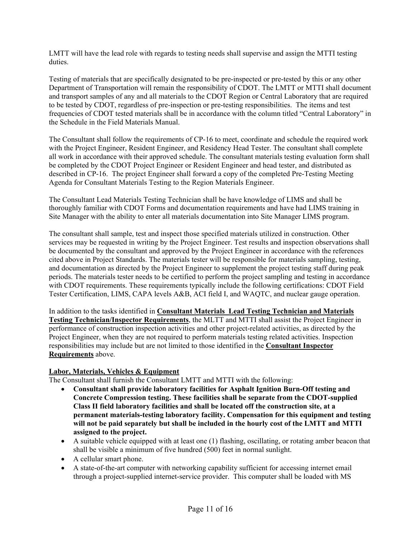LMTT will have the lead role with regards to testing needs shall supervise and assign the MTTI testing duties.

Testing of materials that are specifically designated to be pre-inspected or pre-tested by this or any other Department of Transportation will remain the responsibility of CDOT. The LMTT or MTTI shall document and transport samples of any and all materials to the CDOT Region or Central Laboratory that are required to be tested by CDOT, regardless of pre-inspection or pre-testing responsibilities. The items and test frequencies of CDOT tested materials shall be in accordance with the column titled "Central Laboratory" in the Schedule in the Field Materials Manual.

The Consultant shall follow the requirements of CP-16 to meet, coordinate and schedule the required work with the Project Engineer, Resident Engineer, and Residency Head Tester. The consultant shall complete all work in accordance with their approved schedule. The consultant materials testing evaluation form shall be completed by the CDOT Project Engineer or Resident Engineer and head tester, and distributed as described in CP-16. The project Engineer shall forward a copy of the completed Pre-Testing Meeting Agenda for Consultant Materials Testing to the Region Materials Engineer.

The Consultant Lead Materials Testing Technician shall be have knowledge of LIMS and shall be thoroughly familiar with CDOT Forms and documentation requirements and have had LIMS training in Site Manager with the ability to enter all materials documentation into Site Manager LIMS program.

The consultant shall sample, test and inspect those specified materials utilized in construction. Other services may be requested in writing by the Project Engineer. Test results and inspection observations shall be documented by the consultant and approved by the Project Engineer in accordance with the references cited above in Project Standards. The materials tester will be responsible for materials sampling, testing, and documentation as directed by the Project Engineer to supplement the project testing staff during peak periods. The materials tester needs to be certified to perform the project sampling and testing in accordance with CDOT requirements. These requirements typically include the following certifications: CDOT Field Tester Certification, LIMS, CAPA levels A&B, ACI field I, and WAQTC, and nuclear gauge operation.

In addition to the tasks identified in **Consultant Materials Lead Testing Technician and Materials Testing Technician/Inspector Requirements**, the MLTT and MTTI shall assist the Project Engineer in performance of construction inspection activities and other project-related activities, as directed by the Project Engineer, when they are not required to perform materials testing related activities. Inspection responsibilities may include but are not limited to those identified in the **Consultant Inspector Requirements** above.

#### **Labor, Materials, Vehicles & Equipment**

The Consultant shall furnish the Consultant LMTT and MTTI with the following:

- **Consultant shall provide laboratory facilities for Asphalt Ignition Burn-Off testing and Concrete Compression testing. These facilities shall be separate from the CDOT-supplied Class II field laboratory facilities and shall be located off the construction site, at a permanent materials-testing laboratory facility. Compensation for this equipment and testing will not be paid separately but shall be included in the hourly cost of the LMTT and MTTI assigned to the project.**
- A suitable vehicle equipped with at least one (1) flashing, oscillating, or rotating amber beacon that shall be visible a minimum of five hundred (500) feet in normal sunlight.
- A cellular smart phone.
- A state-of-the-art computer with networking capability sufficient for accessing internet email through a project-supplied internet-service provider. This computer shall be loaded with MS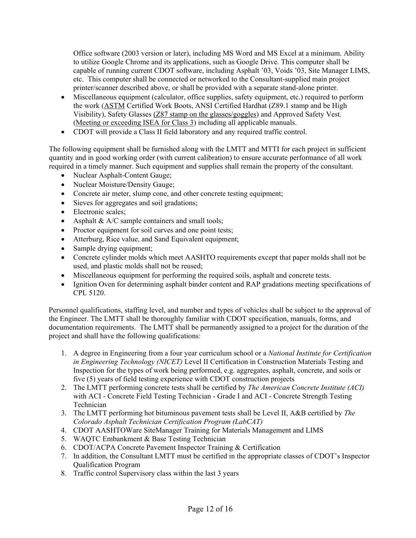Office software (2003 version or later), including MS Word and MS Excel at a minimum. Ability to utilize Google Chrome and its applications, such as Google Drive. This computer shall be capable of running current CDOT software, including Asphalt '03, Voids '03, Site Manager LIMS, etc. This computer shall be connected or networked to the Consultant-supplied main project printer/scanner described above, or shall be provided with a separate stand-alone printer.

- Miscellaneous equipment (calculator, office supplies, safety equipment, etc.) required to perform the work (ASTM Certified Work Boots, ANSI Certified Hardhat (Z89.1 stamp and be High Visibility), Safety Glasses (Z87 stamp on the glasses/goggles) and Approved Safety Vest. (Meeting or exceeding ISEA for Class 3) including all applicable manuals.
- CDOT will provide a Class II field laboratory and any required traffic control.

The following equipment shall be furnished along with the LMTT and MTTI for each project in sufficient quantity and in good working order (with current calibration) to ensure accurate performance of all work required in a timely manner. Such equipment and supplies shall remain the property of the consultant.

- Nuclear Asphalt-Content Gauge;
- Nuclear Moisture/Density Gauge;
- Concrete air meter, slump cone, and other concrete testing equipment;
- Sieves for aggregates and soil gradations;
- Electronic scales;
- Asphalt  $& A/C$  sample containers and small tools;
- Proctor equipment for soil curves and one point tests;
- Atterburg, Rice value, and Sand Equivalent equipment;
- Sample drying equipment;
- Concrete cylinder molds which meet AASHTO requirements except that paper molds shall not be used, and plastic molds shall not be reused;
- Miscellaneous equipment for performing the required soils, asphalt and concrete tests.
- Ignition Oven for determining asphalt binder content and RAP gradations meeting specifications of CPL 5120.

Personnel qualifications, staffing level, and number and types of vehicles shall be subject to the approval of the Engineer. The LMTT shall be thoroughly familiar with CDOT specification, manuals, forms, and documentation requirements. The LMTT shall be permanently assigned to a project for the duration of the project and shall have the following qualifications:

- 1. A degree in Engineering from a four year curriculum school or a *National Institute for Certification in Engineering Technology (NICET)* Level II Certification in Construction Materials Testing and Inspection for the types of work being performed, e.g. aggregates, asphalt, concrete, and soils or five (5) years of field testing experience with CDOT construction projects
- 2. The LMTT performing concrete tests shall be certified by *The American Concrete Institute (ACI)* with ACI - Concrete Field Testing Technician - Grade I and ACI - Concrete Strength Testing Technician
- 3. The LMTT performing hot bituminous pavement tests shall be Level II, A&B certified by *The Colorado Asphalt Technician Certification Program (LabCAT)*
- 4. CDOT AASHTOWare SiteManager Training for Materials Management and LIMS
- 5. WAQTC Embankment & Base Testing Technician
- 6. CDOT/ACPA Concrete Pavement Inspector Training & Certification
- 7. In addition, the Consultant LMTT must be certified in the appropriate classes of CDOT's Inspector Qualification Program
- 8. Traffic control Supervisory class within the last 3 years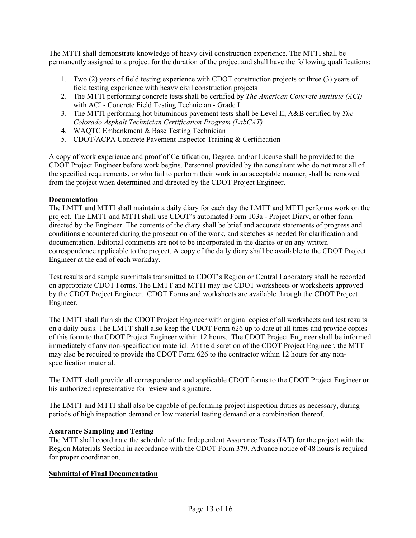The MTTI shall demonstrate knowledge of heavy civil construction experience. The MTTI shall be permanently assigned to a project for the duration of the project and shall have the following qualifications:

- 1. Two (2) years of field testing experience with CDOT construction projects or three (3) years of field testing experience with heavy civil construction projects
- 2. The MTTI performing concrete tests shall be certified by *The American Concrete Institute (ACI)* with ACI - Concrete Field Testing Technician - Grade I
- 3. The MTTI performing hot bituminous pavement tests shall be Level II, A&B certified by *The Colorado Asphalt Technician Certification Program (LabCAT)*
- 4. WAQTC Embankment & Base Testing Technician
- 5. CDOT/ACPA Concrete Pavement Inspector Training & Certification

A copy of work experience and proof of Certification, Degree, and/or License shall be provided to the CDOT Project Engineer before work begins. Personnel provided by the consultant who do not meet all of the specified requirements, or who fail to perform their work in an acceptable manner, shall be removed from the project when determined and directed by the CDOT Project Engineer.

#### **Documentation**

The LMTT and MTTI shall maintain a daily diary for each day the LMTT and MTTI performs work on the project. The LMTT and MTTI shall use CDOT's automated Form 103a - Project Diary, or other form directed by the Engineer. The contents of the diary shall be brief and accurate statements of progress and conditions encountered during the prosecution of the work, and sketches as needed for clarification and documentation. Editorial comments are not to be incorporated in the diaries or on any written correspondence applicable to the project. A copy of the daily diary shall be available to the CDOT Project Engineer at the end of each workday.

Test results and sample submittals transmitted to CDOT's Region or Central Laboratory shall be recorded on appropriate CDOT Forms. The LMTT and MTTI may use CDOT worksheets or worksheets approved by the CDOT Project Engineer. CDOT Forms and worksheets are available through the CDOT Project Engineer.

The LMTT shall furnish the CDOT Project Engineer with original copies of all worksheets and test results on a daily basis. The LMTT shall also keep the CDOT Form 626 up to date at all times and provide copies of this form to the CDOT Project Engineer within 12 hours. The CDOT Project Engineer shall be informed immediately of any non-specification material. At the discretion of the CDOT Project Engineer, the MTT may also be required to provide the CDOT Form 626 to the contractor within 12 hours for any nonspecification material.

The LMTT shall provide all correspondence and applicable CDOT forms to the CDOT Project Engineer or his authorized representative for review and signature.

The LMTT and MTTI shall also be capable of performing project inspection duties as necessary, during periods of high inspection demand or low material testing demand or a combination thereof.

#### **Assurance Sampling and Testing**

The MTT shall coordinate the schedule of the Independent Assurance Tests (IAT) for the project with the Region Materials Section in accordance with the CDOT Form 379. Advance notice of 48 hours is required for proper coordination.

#### **Submittal of Final Documentation**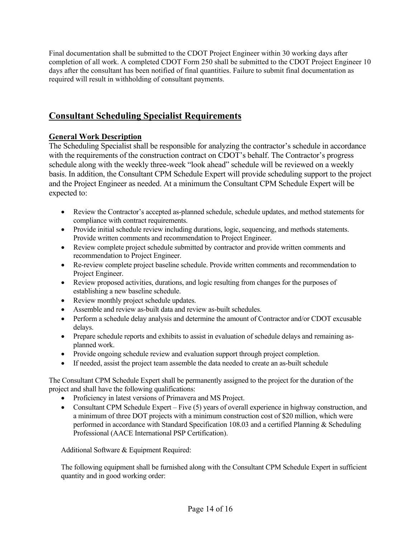Final documentation shall be submitted to the CDOT Project Engineer within 30 working days after completion of all work. A completed CDOT Form 250 shall be submitted to the CDOT Project Engineer 10 days after the consultant has been notified of final quantities. Failure to submit final documentation as required will result in withholding of consultant payments.

## **Consultant Scheduling Specialist Requirements**

## **General Work Description**

The Scheduling Specialist shall be responsible for analyzing the contractor's schedule in accordance with the requirements of the construction contract on CDOT's behalf. The Contractor's progress schedule along with the weekly three-week "look ahead" schedule will be reviewed on a weekly basis. In addition, the Consultant CPM Schedule Expert will provide scheduling support to the project and the Project Engineer as needed. At a minimum the Consultant CPM Schedule Expert will be expected to:

- Review the Contractor's accepted as-planned schedule, schedule updates, and method statements for compliance with contract requirements.
- Provide initial schedule review including durations, logic, sequencing, and methods statements. Provide written comments and recommendation to Project Engineer.
- Review complete project schedule submitted by contractor and provide written comments and recommendation to Project Engineer.
- Re-review complete project baseline schedule. Provide written comments and recommendation to Project Engineer.
- Review proposed activities, durations, and logic resulting from changes for the purposes of establishing a new baseline schedule.
- Review monthly project schedule updates.
- Assemble and review as-built data and review as-built schedules.
- Perform a schedule delay analysis and determine the amount of Contractor and/or CDOT excusable delays.
- Prepare schedule reports and exhibits to assist in evaluation of schedule delays and remaining asplanned work.
- Provide ongoing schedule review and evaluation support through project completion.
- If needed, assist the project team assemble the data needed to create an as-built schedule

The Consultant CPM Schedule Expert shall be permanently assigned to the project for the duration of the project and shall have the following qualifications:

- Proficiency in latest versions of Primavera and MS Project.
- Consultant CPM Schedule Expert Five (5) years of overall experience in highway construction, and a minimum of three DOT projects with a minimum construction cost of \$20 million, which were performed in accordance with Standard Specification 108.03 and a certified Planning & Scheduling Professional (AACE International PSP Certification).

Additional Software & Equipment Required:

The following equipment shall be furnished along with the Consultant CPM Schedule Expert in sufficient quantity and in good working order: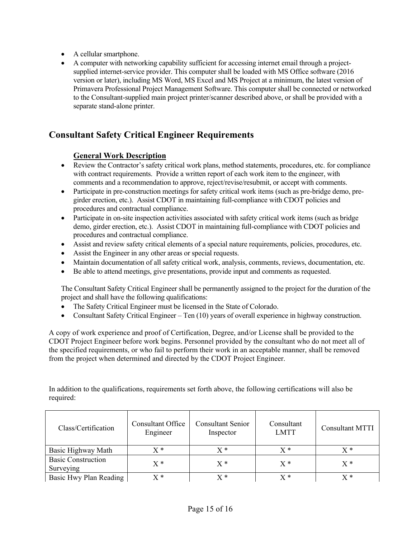- A cellular smartphone.
- A computer with networking capability sufficient for accessing internet email through a projectsupplied internet-service provider. This computer shall be loaded with MS Office software (2016 version or later), including MS Word, MS Excel and MS Project at a minimum, the latest version of Primavera Professional Project Management Software. This computer shall be connected or networked to the Consultant-supplied main project printer/scanner described above, or shall be provided with a separate stand-alone printer.

## **Consultant Safety Critical Engineer Requirements**

### **General Work Description**

- Review the Contractor's safety critical work plans, method statements, procedures, etc. for compliance with contract requirements. Provide a written report of each work item to the engineer, with comments and a recommendation to approve, reject/revise/resubmit, or accept with comments.
- Participate in pre-construction meetings for safety critical work items (such as pre-bridge demo, pregirder erection, etc.). Assist CDOT in maintaining full-compliance with CDOT policies and procedures and contractual compliance.
- Participate in on-site inspection activities associated with safety critical work items (such as bridge demo, girder erection, etc.). Assist CDOT in maintaining full-compliance with CDOT policies and procedures and contractual compliance.
- Assist and review safety critical elements of a special nature requirements, policies, procedures, etc.
- Assist the Engineer in any other areas or special requests.
- Maintain documentation of all safety critical work, analysis, comments, reviews, documentation, etc.
- Be able to attend meetings, give presentations, provide input and comments as requested.

The Consultant Safety Critical Engineer shall be permanently assigned to the project for the duration of the project and shall have the following qualifications:

- The Safety Critical Engineer must be licensed in the State of Colorado.
- Consultant Safety Critical Engineer Ten (10) years of overall experience in highway construction.

A copy of work experience and proof of Certification, Degree, and/or License shall be provided to the CDOT Project Engineer before work begins. Personnel provided by the consultant who do not meet all of the specified requirements, or who fail to perform their work in an acceptable manner, shall be removed from the project when determined and directed by the CDOT Project Engineer.

In addition to the qualifications, requirements set forth above, the following certifications will also be required:

| Class/Certification                    | <b>Consultant Office</b><br>Engineer | <b>Consultant Senior</b><br>Inspector | Consultant<br><b>LMTT</b> | <b>Consultant MTTI</b> |
|----------------------------------------|--------------------------------------|---------------------------------------|---------------------------|------------------------|
| Basic Highway Math                     | $X^*$                                | $X^*$                                 | $X^*$                     | $\mathbf{v} *$         |
| <b>Basic Construction</b><br>Surveying | $X^*$                                | $X^*$                                 | $X^*$                     | $X^*$                  |
| Basic Hwy Plan Reading                 | X *                                  | $\mathrm{Y} \ast$                     | x *                       | y *                    |